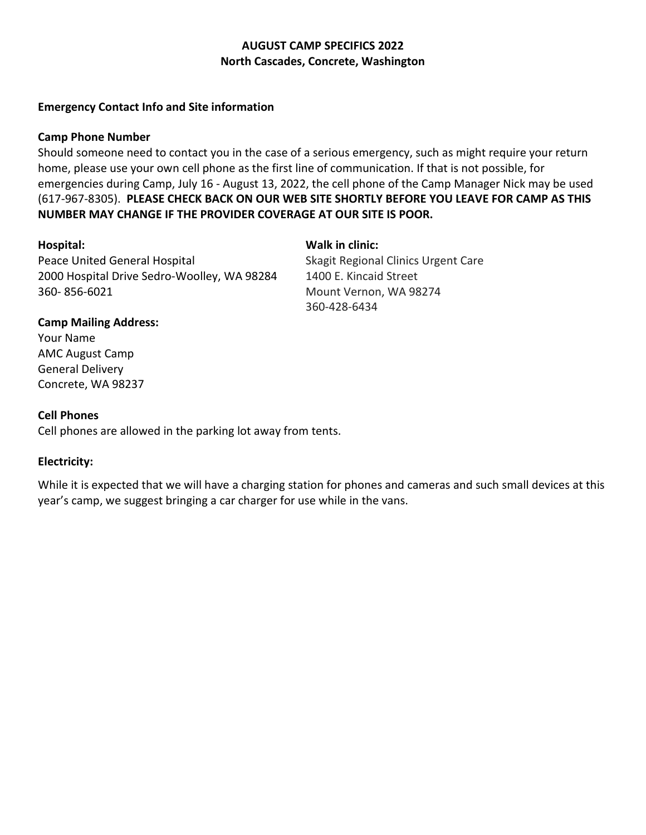# **AUGUST CAMP SPECIFICS 2022 North Cascades, Concrete, Washington**

## **Emergency Contact Info and Site information**

### **Camp Phone Number**

Should someone need to contact you in the case of a serious emergency, such as might require your return home, please use your own cell phone as the first line of communication. If that is not possible, for emergencies during Camp, July 16 - August 13, 2022, the cell phone of the Camp Manager Nick may be used (617-967-8305). **PLEASE CHECK BACK ON OUR WEB SITE SHORTLY BEFORE YOU LEAVE FOR CAMP AS THIS NUMBER MAY CHANGE IF THE PROVIDER COVERAGE AT OUR SITE IS POOR.**

Peace United General Hospital 2000 Hospital Drive Sedro-Woolley, WA 98284 360- 856-6021

**Hospital: Walk in clinic:** Skagit Regional Clinics Urgent Care 1400 E. Kincaid Street Mount Vernon, WA 98274 360-428-6434

#### **Camp Mailing Address:**

Your Name AMC August Camp General Delivery Concrete, WA 98237

#### **Cell Phones**

Cell phones are allowed in the parking lot away from tents.

## **Electricity:**

While it is expected that we will have a charging station for phones and cameras and such small devices at this year's camp, we suggest bringing a car charger for use while in the vans.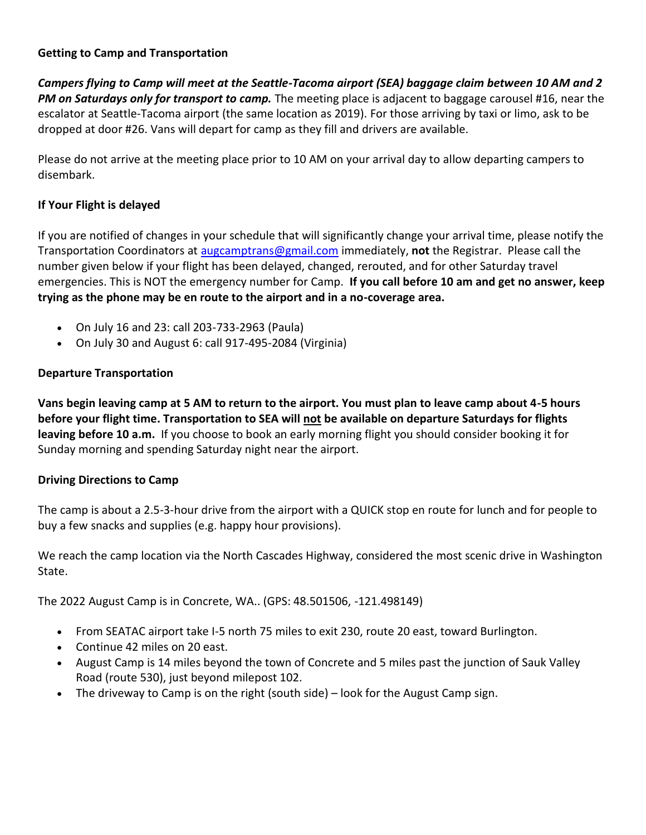# **Getting to Camp and Transportation**

*Campers flying to Camp will meet at the Seattle-Tacoma airport (SEA) baggage claim between 10 AM and 2 PM on Saturdays only for transport to camp.* The meeting place is adjacent to baggage carousel #16, near the escalator at Seattle-Tacoma airport (the same location as 2019). For those arriving by taxi or limo, ask to be dropped at door #26. Vans will depart for camp as they fill and drivers are available.

Please do not arrive at the meeting place prior to 10 AM on your arrival day to allow departing campers to disembark.

# **If Your Flight is delayed**

If you are notified of changes in your schedule that will significantly change your arrival time, please notify the Transportation Coordinators at [augcamptrans@gmail.com](mailto:augcamptrans@gmail.com) immediately, **not** the Registrar. Please call the number given below if your flight has been delayed, changed, rerouted, and for other Saturday travel emergencies. This is NOT the emergency number for Camp. **If you call before 10 am and get no answer, keep trying as the phone may be en route to the airport and in a no-coverage area.**

- On July 16 and 23: call 203-733-2963 (Paula)
- On July 30 and August 6: call 917-495-2084 (Virginia)

# **Departure Transportation**

**Vans begin leaving camp at 5 AM to return to the airport. You must plan to leave camp about 4-5 hours before your flight time. Transportation to SEA will not be available on departure Saturdays for flights leaving before 10 a.m.** If you choose to book an early morning flight you should consider booking it for Sunday morning and spending Saturday night near the airport.

# **Driving Directions to Camp**

The camp is about a 2.5-3-hour drive from the airport with a QUICK stop en route for lunch and for people to buy a few snacks and supplies (e.g. happy hour provisions).

We reach the camp location via the North Cascades Highway, considered the most scenic drive in Washington State.

The 2022 August Camp is in Concrete, WA.. (GPS: 48.501506, -121.498149)

- From SEATAC airport take I-5 north 75 miles to exit 230, route 20 east, toward Burlington.
- Continue 42 miles on 20 east.
- August Camp is 14 miles beyond the town of Concrete and 5 miles past the junction of Sauk Valley Road (route 530), just beyond milepost 102.
- The driveway to Camp is on the right (south side) look for the August Camp sign.